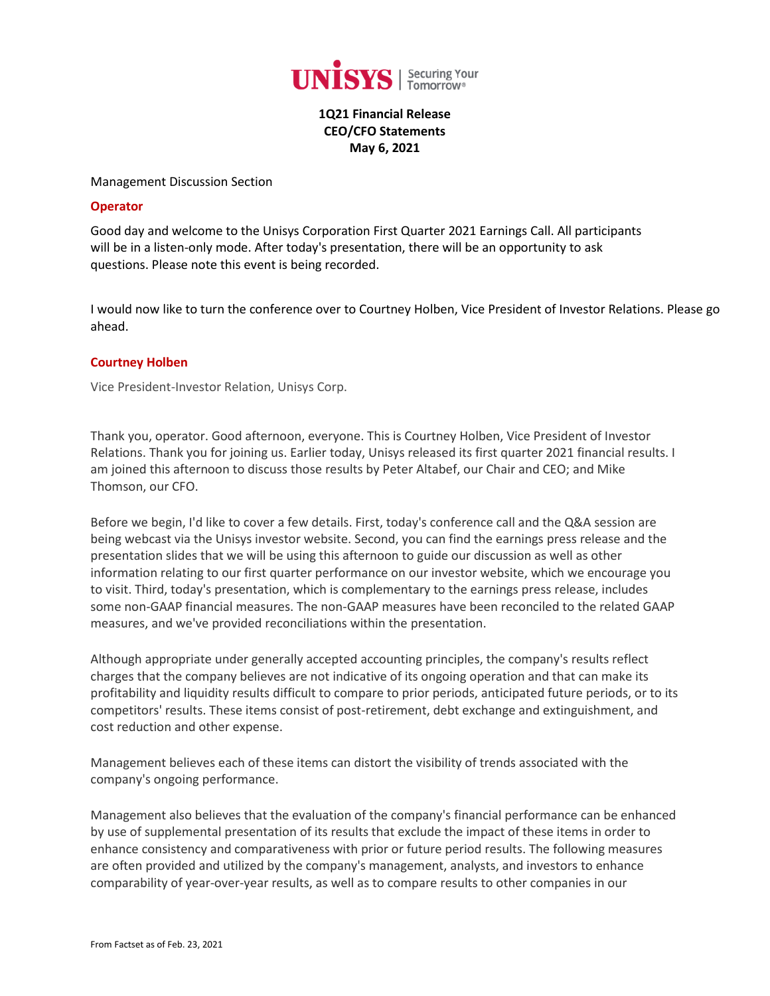

**1Q21 Financial Release CEO/CFO Statements May 6, 2021**

#### Management Discussion Section

### **Operator**

Good day and welcome to the Unisys Corporation First Quarter 2021 Earnings Call. All participants will be in a listen-only mode. After today's presentation, there will be an opportunity to ask questions. Please note this event is being recorded.

I would now like to turn the conference over to Courtney Holben, Vice President of Investor Relations. Please go ahead.

# **[Courtney Holben](javascript:void(0);)**

Vice President-Investor Relation, Unisys Corp.

Thank you, operator. Good afternoon, everyone. This is Courtney Holben, Vice President of Investor Relations. Thank you for joining us. Earlier today, Unisys released its first quarter 2021 financial results. I am joined this afternoon to discuss those results by Peter Altabef, our Chair and CEO; and Mike Thomson, our CFO.

Before we begin, I'd like to cover a few details. First, today's conference call and the Q&A session are being webcast via the Unisys investor website. Second, you can find the earnings press release and the presentation slides that we will be using this afternoon to guide our discussion as well as other information relating to our first quarter performance on our investor website, which we encourage you to visit. Third, today's presentation, which is complementary to the earnings press release, includes some non-GAAP financial measures. The non-GAAP measures have been reconciled to the related GAAP measures, and we've provided reconciliations within the presentation.

Although appropriate under generally accepted accounting principles, the company's results reflect charges that the company believes are not indicative of its ongoing operation and that can make its profitability and liquidity results difficult to compare to prior periods, anticipated future periods, or to its competitors' results. These items consist of post-retirement, debt exchange and extinguishment, and cost reduction and other expense.

Management believes each of these items can distort the visibility of trends associated with the company's ongoing performance.

Management also believes that the evaluation of the company's financial performance can be enhanced by use of supplemental presentation of its results that exclude the impact of these items in order to enhance consistency and comparativeness with prior or future period results. The following measures are often provided and utilized by the company's management, analysts, and investors to enhance comparability of year-over-year results, as well as to compare results to other companies in our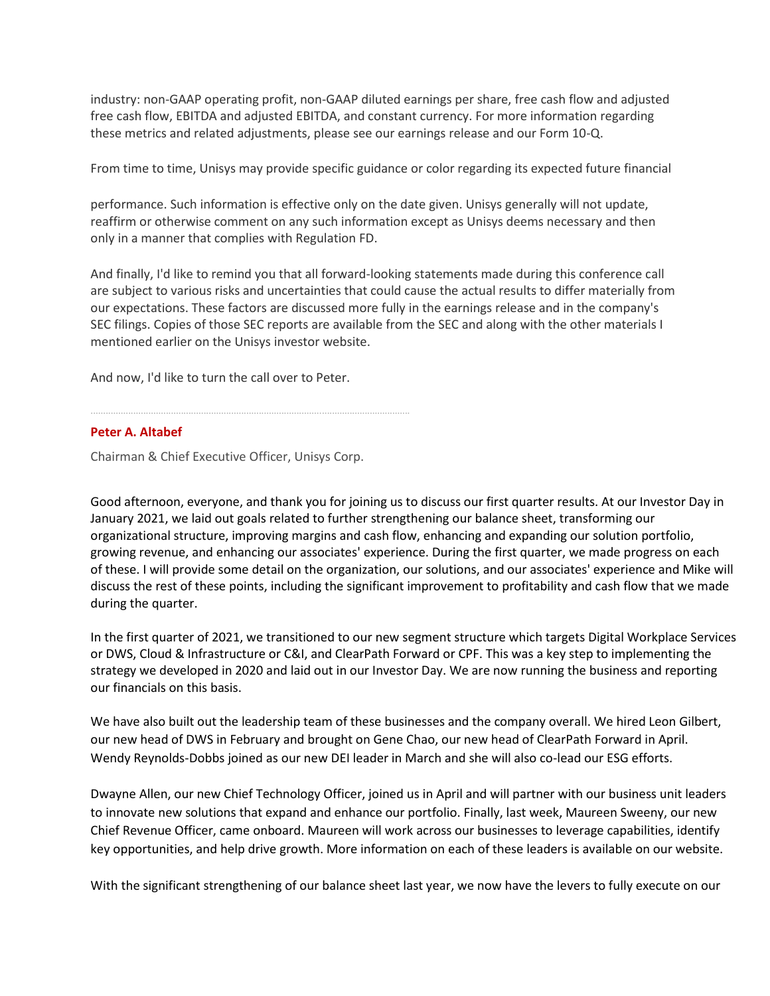industry: non-GAAP operating profit, non-GAAP diluted earnings per share, free cash flow and adjusted free cash flow, EBITDA and adjusted EBITDA, and constant currency. For more information regarding these metrics and related adjustments, please see our earnings release and our Form 10-Q.

From time to time, Unisys may provide specific guidance or color regarding its expected future financial

performance. Such information is effective only on the date given. Unisys generally will not update, reaffirm or otherwise comment on any such information except as Unisys deems necessary and then only in a manner that complies with Regulation FD.

And finally, I'd like to remind you that all forward-looking statements made during this conference call are subject to various risks and uncertainties that could cause the actual results to differ materially from our expectations. These factors are discussed more fully in the earnings release and in the company's SEC filings. Copies of those SEC reports are available from the SEC and along with the other materials I mentioned earlier on the Unisys investor website.

And now, I'd like to turn the call over to Peter.

# **[Peter A. Altabef](javascript:void(0);)**

Chairman & Chief Executive Officer, Unisys Corp.

...............................................................................................................................

Good afternoon, everyone, and thank you for joining us to discuss our first quarter results. At our Investor Day in January 2021, we laid out goals related to further strengthening our balance sheet, transforming our organizational structure, improving margins and cash flow, enhancing and expanding our solution portfolio, growing revenue, and enhancing our associates' experience. During the first quarter, we made progress on each of these. I will provide some detail on the organization, our solutions, and our associates' experience and Mike will discuss the rest of these points, including the significant improvement to profitability and cash flow that we made during the quarter.

In the first quarter of 2021, we transitioned to our new segment structure which targets Digital Workplace Services or DWS, Cloud & Infrastructure or C&I, and ClearPath Forward or CPF. This was a key step to implementing the strategy we developed in 2020 and laid out in our Investor Day. We are now running the business and reporting our financials on this basis.

We have also built out the leadership team of these businesses and the company overall. We hired Leon Gilbert, our new head of DWS in February and brought on Gene Chao, our new head of ClearPath Forward in April. Wendy Reynolds-Dobbs joined as our new DEI leader in March and she will also co-lead our ESG efforts.

Dwayne Allen, our new Chief Technology Officer, joined us in April and will partner with our business unit leaders to innovate new solutions that expand and enhance our portfolio. Finally, last week, Maureen Sweeny, our new Chief Revenue Officer, came onboard. Maureen will work across our businesses to leverage capabilities, identify key opportunities, and help drive growth. More information on each of these leaders is available on our website.

With the significant strengthening of our balance sheet last year, we now have the levers to fully execute on our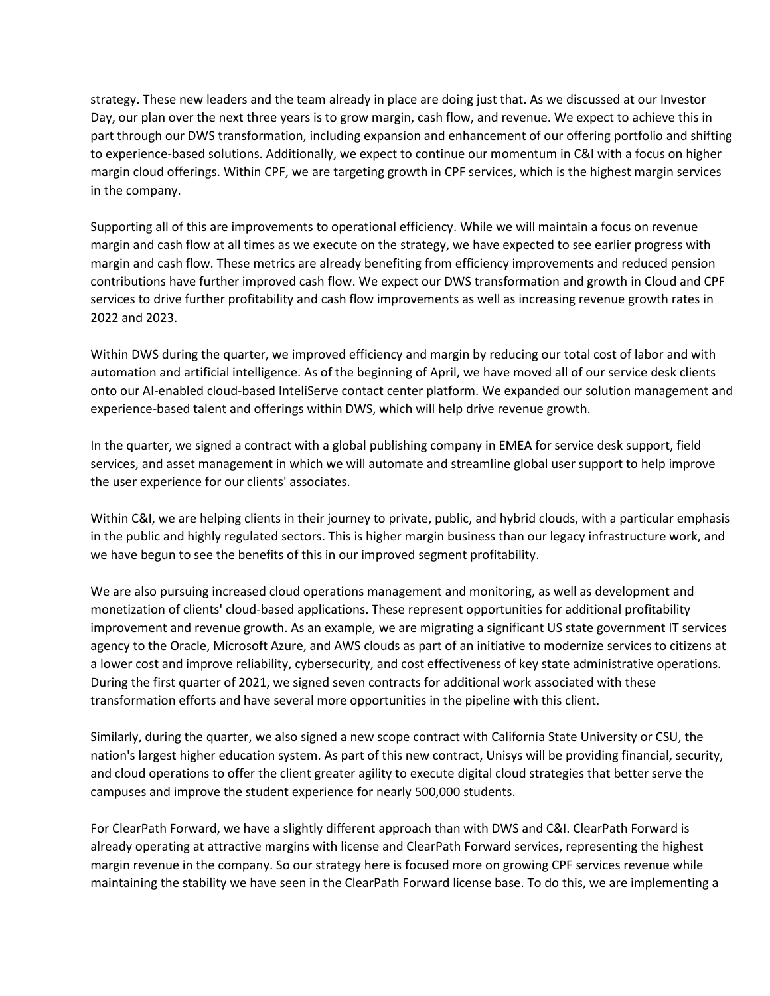strategy. These new leaders and the team already in place are doing just that. As we discussed at our Investor Day, our plan over the next three years is to grow margin, cash flow, and revenue. We expect to achieve this in part through our DWS transformation, including expansion and enhancement of our offering portfolio and shifting to experience-based solutions. Additionally, we expect to continue our momentum in C&I with a focus on higher margin cloud offerings. Within CPF, we are targeting growth in CPF services, which is the highest margin services in the company.

Supporting all of this are improvements to operational efficiency. While we will maintain a focus on revenue margin and cash flow at all times as we execute on the strategy, we have expected to see earlier progress with margin and cash flow. These metrics are already benefiting from efficiency improvements and reduced pension contributions have further improved cash flow. We expect our DWS transformation and growth in Cloud and CPF services to drive further profitability and cash flow improvements as well as increasing revenue growth rates in 2022 and 2023.

Within DWS during the quarter, we improved efficiency and margin by reducing our total cost of labor and with automation and artificial intelligence. As of the beginning of April, we have moved all of our service desk clients onto our AI-enabled cloud-based InteliServe contact center platform. We expanded our solution management and experience-based talent and offerings within DWS, which will help drive revenue growth.

In the quarter, we signed a contract with a global publishing company in EMEA for service desk support, field services, and asset management in which we will automate and streamline global user support to help improve the user experience for our clients' associates.

Within C&I, we are helping clients in their journey to private, public, and hybrid clouds, with a particular emphasis in the public and highly regulated sectors. This is higher margin business than our legacy infrastructure work, and we have begun to see the benefits of this in our improved segment profitability.

We are also pursuing increased cloud operations management and monitoring, as well as development and monetization of clients' cloud-based applications. These represent opportunities for additional profitability improvement and revenue growth. As an example, we are migrating a significant US state government IT services agency to the Oracle, Microsoft Azure, and AWS clouds as part of an initiative to modernize services to citizens at a lower cost and improve reliability, cybersecurity, and cost effectiveness of key state administrative operations. During the first quarter of 2021, we signed seven contracts for additional work associated with these transformation efforts and have several more opportunities in the pipeline with this client.

Similarly, during the quarter, we also signed a new scope contract with California State University or CSU, the nation's largest higher education system. As part of this new contract, Unisys will be providing financial, security, and cloud operations to offer the client greater agility to execute digital cloud strategies that better serve the campuses and improve the student experience for nearly 500,000 students.

For ClearPath Forward, we have a slightly different approach than with DWS and C&I. ClearPath Forward is already operating at attractive margins with license and ClearPath Forward services, representing the highest margin revenue in the company. So our strategy here is focused more on growing CPF services revenue while maintaining the stability we have seen in the ClearPath Forward license base. To do this, we are implementing a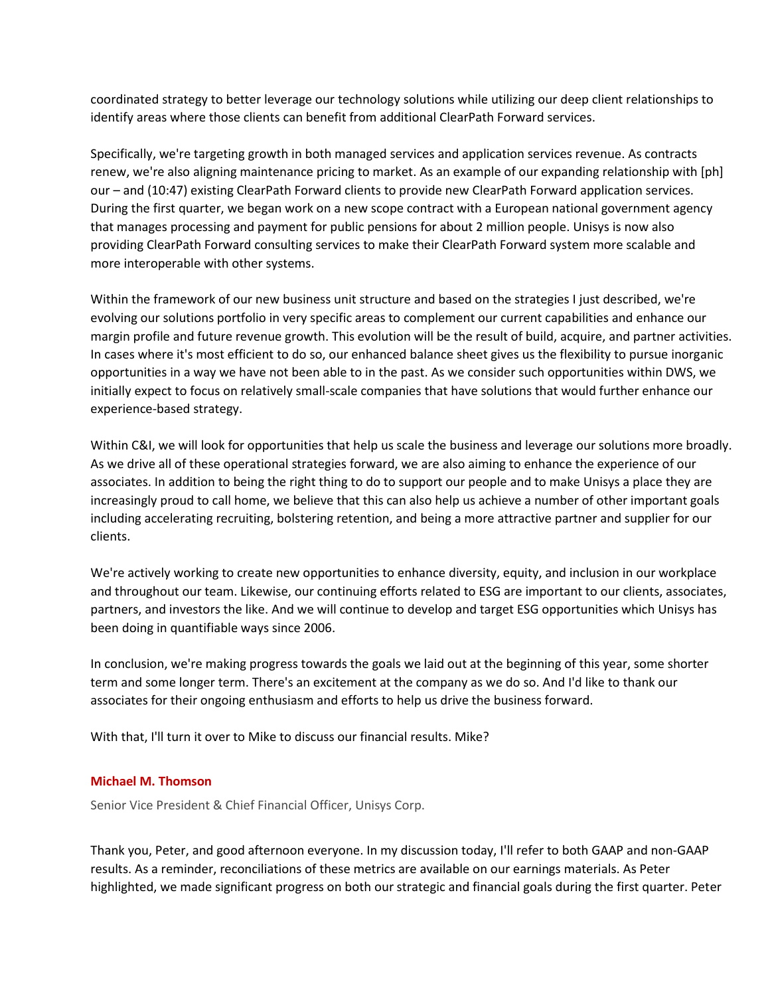coordinated strategy to better leverage our technology solutions while utilizing our deep client relationships to identify areas where those clients can benefit from additional ClearPath Forward services.

Specifically, we're targeting growth in both managed services and application services revenue. As contracts renew, we're also aligning maintenance pricing to market. As an example of our expanding relationship with [ph] our – and (10:47) existing ClearPath Forward clients to provide new ClearPath Forward application services. During the first quarter, we began work on a new scope contract with a European national government agency that manages processing and payment for public pensions for about 2 million people. Unisys is now also providing ClearPath Forward consulting services to make their ClearPath Forward system more scalable and more interoperable with other systems.

Within the framework of our new business unit structure and based on the strategies I just described, we're evolving our solutions portfolio in very specific areas to complement our current capabilities and enhance our margin profile and future revenue growth. This evolution will be the result of build, acquire, and partner activities. In cases where it's most efficient to do so, our enhanced balance sheet gives us the flexibility to pursue inorganic opportunities in a way we have not been able to in the past. As we consider such opportunities within DWS, we initially expect to focus on relatively small-scale companies that have solutions that would further enhance our experience-based strategy.

Within C&I, we will look for opportunities that help us scale the business and leverage our solutions more broadly. As we drive all of these operational strategies forward, we are also aiming to enhance the experience of our associates. In addition to being the right thing to do to support our people and to make Unisys a place they are increasingly proud to call home, we believe that this can also help us achieve a number of other important goals including accelerating recruiting, bolstering retention, and being a more attractive partner and supplier for our clients.

We're actively working to create new opportunities to enhance diversity, equity, and inclusion in our workplace and throughout our team. Likewise, our continuing efforts related to ESG are important to our clients, associates, partners, and investors the like. And we will continue to develop and target ESG opportunities which Unisys has been doing in quantifiable ways since 2006.

In conclusion, we're making progress towards the goals we laid out at the beginning of this year, some shorter term and some longer term. There's an excitement at the company as we do so. And I'd like to thank our associates for their ongoing enthusiasm and efforts to help us drive the business forward.

With that, I'll turn it over to Mike to discuss our financial results. Mike?

# **[Michael M. Thomson](javascript:void(0);)**

Senior Vice President & Chief Financial Officer, Unisys Corp.

Thank you, Peter, and good afternoon everyone. In my discussion today, I'll refer to both GAAP and non-GAAP results. As a reminder, reconciliations of these metrics are available on our earnings materials. As Peter highlighted, we made significant progress on both our strategic and financial goals during the first quarter. Peter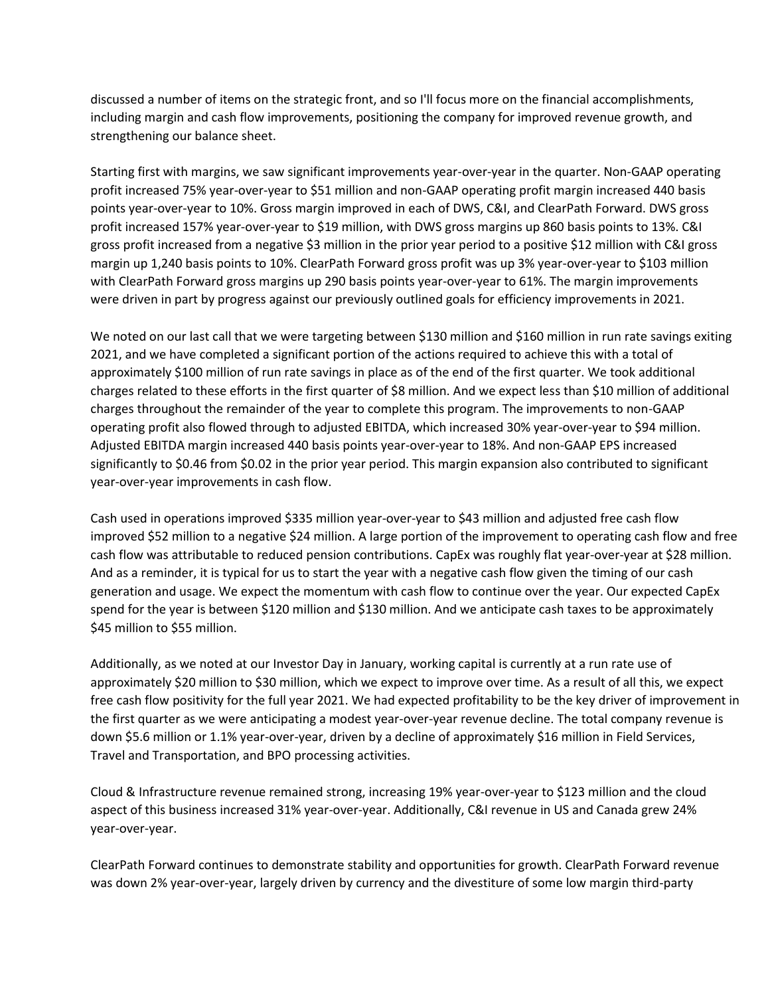discussed a number of items on the strategic front, and so I'll focus more on the financial accomplishments, including margin and cash flow improvements, positioning the company for improved revenue growth, and strengthening our balance sheet.

Starting first with margins, we saw significant improvements year-over-year in the quarter. Non-GAAP operating profit increased 75% year-over-year to \$51 million and non-GAAP operating profit margin increased 440 basis points year-over-year to 10%. Gross margin improved in each of DWS, C&I, and ClearPath Forward. DWS gross profit increased 157% year-over-year to \$19 million, with DWS gross margins up 860 basis points to 13%. C&I gross profit increased from a negative \$3 million in the prior year period to a positive \$12 million with C&I gross margin up 1,240 basis points to 10%. ClearPath Forward gross profit was up 3% year-over-year to \$103 million with ClearPath Forward gross margins up 290 basis points year-over-year to 61%. The margin improvements were driven in part by progress against our previously outlined goals for efficiency improvements in 2021.

We noted on our last call that we were targeting between \$130 million and \$160 million in run rate savings exiting 2021, and we have completed a significant portion of the actions required to achieve this with a total of approximately \$100 million of run rate savings in place as of the end of the first quarter. We took additional charges related to these efforts in the first quarter of \$8 million. And we expect less than \$10 million of additional charges throughout the remainder of the year to complete this program. The improvements to non-GAAP operating profit also flowed through to adjusted EBITDA, which increased 30% year-over-year to \$94 million. Adjusted EBITDA margin increased 440 basis points year-over-year to 18%. And non-GAAP EPS increased significantly to \$0.46 from \$0.02 in the prior year period. This margin expansion also contributed to significant year-over-year improvements in cash flow.

Cash used in operations improved \$335 million year-over-year to \$43 million and adjusted free cash flow improved \$52 million to a negative \$24 million. A large portion of the improvement to operating cash flow and free cash flow was attributable to reduced pension contributions. CapEx was roughly flat year-over-year at \$28 million. And as a reminder, it is typical for us to start the year with a negative cash flow given the timing of our cash generation and usage. We expect the momentum with cash flow to continue over the year. Our expected CapEx spend for the year is between \$120 million and \$130 million. And we anticipate cash taxes to be approximately \$45 million to \$55 million.

Additionally, as we noted at our Investor Day in January, working capital is currently at a run rate use of approximately \$20 million to \$30 million, which we expect to improve over time. As a result of all this, we expect free cash flow positivity for the full year 2021. We had expected profitability to be the key driver of improvement in the first quarter as we were anticipating a modest year-over-year revenue decline. The total company revenue is down \$5.6 million or 1.1% year-over-year, driven by a decline of approximately \$16 million in Field Services, Travel and Transportation, and BPO processing activities.

Cloud & Infrastructure revenue remained strong, increasing 19% year-over-year to \$123 million and the cloud aspect of this business increased 31% year-over-year. Additionally, C&I revenue in US and Canada grew 24% year-over-year.

ClearPath Forward continues to demonstrate stability and opportunities for growth. ClearPath Forward revenue was down 2% year-over-year, largely driven by currency and the divestiture of some low margin third-party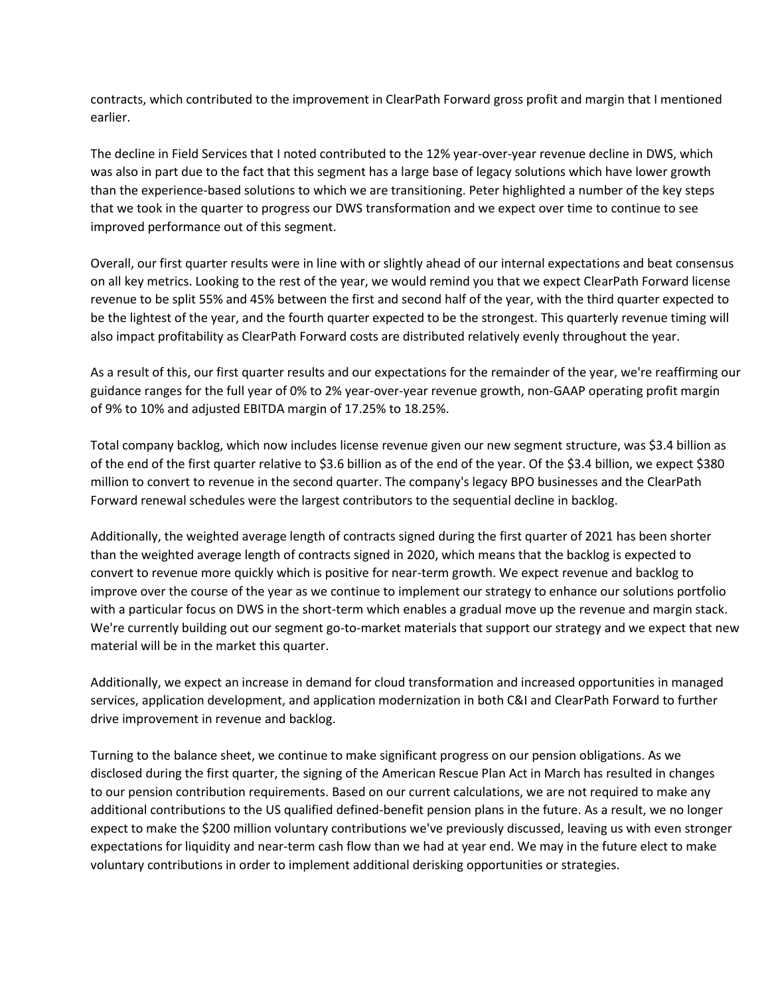contracts, which contributed to the improvement in ClearPath Forward gross profit and margin that I mentioned earlier.

The decline in Field Services that I noted contributed to the 12% year-over-year revenue decline in DWS, which was also in part due to the fact that this segment has a large base of legacy solutions which have lower growth than the experience-based solutions to which we are transitioning. Peter highlighted a number of the key steps that we took in the quarter to progress our DWS transformation and we expect over time to continue to see improved performance out of this segment.

Overall, our first quarter results were in line with or slightly ahead of our internal expectations and beat consensus on all key metrics. Looking to the rest of the year, we would remind you that we expect ClearPath Forward license revenue to be split 55% and 45% between the first and second half of the year, with the third quarter expected to be the lightest of the year, and the fourth quarter expected to be the strongest. This quarterly revenue timing will also impact profitability as ClearPath Forward costs are distributed relatively evenly throughout the year.

As a result of this, our first quarter results and our expectations for the remainder of the year, we're reaffirming our guidance ranges for the full year of 0% to 2% year-over-year revenue growth, non-GAAP operating profit margin of 9% to 10% and adjusted EBITDA margin of 17.25% to 18.25%.

Total company backlog, which now includes license revenue given our new segment structure, was \$3.4 billion as of the end of the first quarter relative to \$3.6 billion as of the end of the year. Of the \$3.4 billion, we expect \$380 million to convert to revenue in the second quarter. The company's legacy BPO businesses and the ClearPath Forward renewal schedules were the largest contributors to the sequential decline in backlog.

Additionally, the weighted average length of contracts signed during the first quarter of 2021 has been shorter than the weighted average length of contracts signed in 2020, which means that the backlog is expected to convert to revenue more quickly which is positive for near-term growth. We expect revenue and backlog to improve over the course of the year as we continue to implement our strategy to enhance our solutions portfolio with a particular focus on DWS in the short-term which enables a gradual move up the revenue and margin stack. We're currently building out our segment go-to-market materials that support our strategy and we expect that new material will be in the market this quarter.

Additionally, we expect an increase in demand for cloud transformation and increased opportunities in managed services, application development, and application modernization in both C&I and ClearPath Forward to further drive improvement in revenue and backlog.

Turning to the balance sheet, we continue to make significant progress on our pension obligations. As we disclosed during the first quarter, the signing of the American Rescue Plan Act in March has resulted in changes to our pension contribution requirements. Based on our current calculations, we are not required to make any additional contributions to the US qualified defined-benefit pension plans in the future. As a result, we no longer expect to make the \$200 million voluntary contributions we've previously discussed, leaving us with even stronger expectations for liquidity and near-term cash flow than we had at year end. We may in the future elect to make voluntary contributions in order to implement additional derisking opportunities or strategies.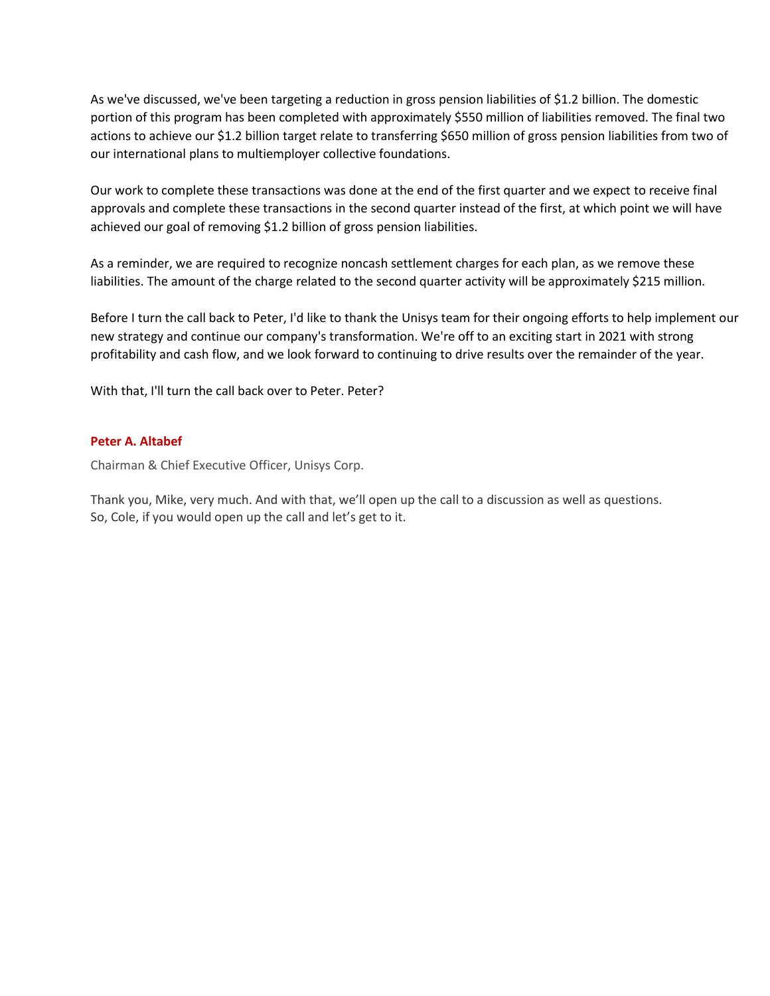As we've discussed, we've been targeting a reduction in gross pension liabilities of \$1.2 billion. The domestic portion of this program has been completed with approximately \$550 million of liabilities removed. The final two actions to achieve our \$1.2 billion target relate to transferring \$650 million of gross pension liabilities from two of our international plans to multiemployer collective foundations.

Our work to complete these transactions was done at the end of the first quarter and we expect to receive final approvals and complete these transactions in the second quarter instead of the first, at which point we will have achieved our goal of removing \$1.2 billion of gross pension liabilities.

As a reminder, we are required to recognize noncash settlement charges for each plan, as we remove these liabilities. The amount of the charge related to the second quarter activity will be approximately \$215 million.

Before I turn the call back to Peter, I'd like to thank the Unisys team for their ongoing efforts to help implement our new strategy and continue our company's transformation. We're off to an exciting start in 2021 with strong profitability and cash flow, and we look forward to continuing to drive results over the remainder of the year.

With that, I'll turn the call back over to Peter. Peter?

# **[Peter A. Altabef](javascript:void(0);)**

Chairman & Chief Executive Officer, Unisys Corp.

Thank you, Mike, very much. And with that, we'll open up the call to a discussion as well as questions. So, Cole, if you would open up the call and let's get to it.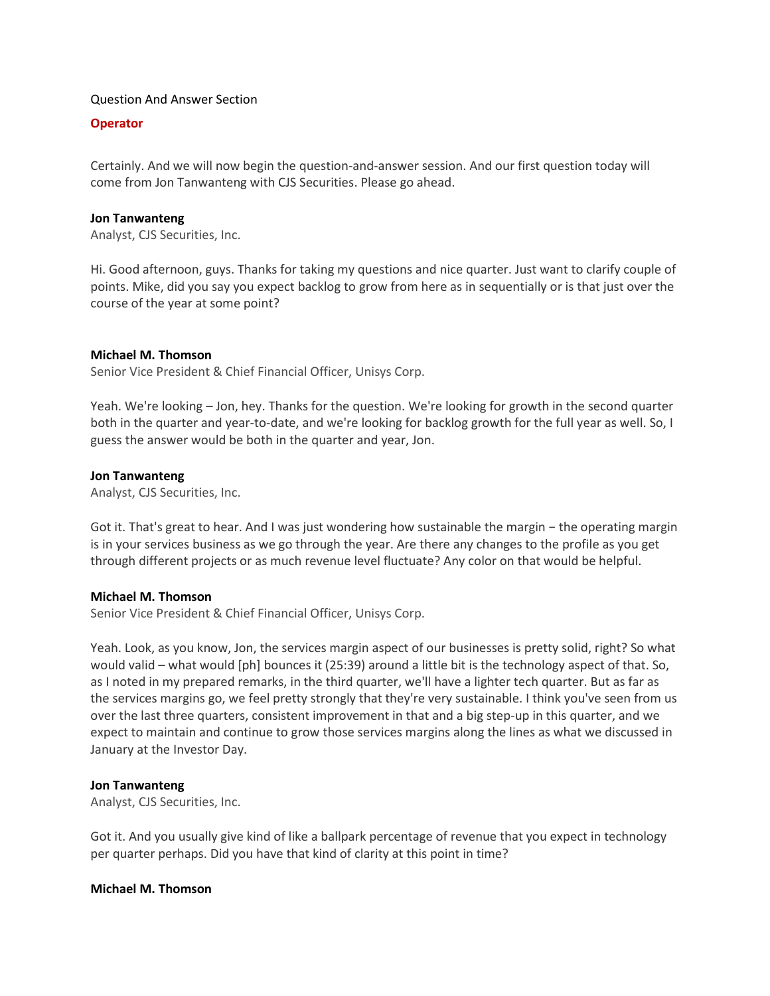### Question And Answer Section

# **Operator**

Certainly. And we will now begin the question-and-answer session. And our first question today will come from Jon Tanwanteng with CJS Securities. Please go ahead.

### **[Jon Tanwanteng](javascript:void(0);)**

Analyst, CJS Securities, Inc.

Hi. Good afternoon, guys. Thanks for taking my questions and nice quarter. Just want to clarify couple of points. Mike, did you say you expect backlog to grow from here as in sequentially or is that just over the course of the year at some point?

#### **[Michael M. Thomson](javascript:void(0);)**

Senior Vice President & Chief Financial Officer, Unisys Corp.

Yeah. We're looking – Jon, hey. Thanks for the question. We're looking for growth in the second quarter both in the quarter and year-to-date, and we're looking for backlog growth for the full year as well. So, I guess the answer would be both in the quarter and year, Jon.

# **[Jon Tanwanteng](javascript:void(0);)**

Analyst, CJS Securities, Inc.

Got it. That's great to hear. And I was just wondering how sustainable the margin − the operating margin is in your services business as we go through the year. Are there any changes to the profile as you get through different projects or as much revenue level fluctuate? Any color on that would be helpful.

# **[Michael M. Thomson](javascript:void(0);)**

Senior Vice President & Chief Financial Officer, Unisys Corp.

Yeah. Look, as you know, Jon, the services margin aspect of our businesses is pretty solid, right? So what would valid – what would [ph] bounces it (25:39) around a little bit is the technology aspect of that. So, as I noted in my prepared remarks, in the third quarter, we'll have a lighter tech quarter. But as far as the services margins go, we feel pretty strongly that they're very sustainable. I think you've seen from us over the last three quarters, consistent improvement in that and a big step-up in this quarter, and we expect to maintain and continue to grow those services margins along the lines as what we discussed in January at the Investor Day.

#### **[Jon Tanwanteng](javascript:void(0);)**

Analyst, CJS Securities, Inc.

Got it. And you usually give kind of like a ballpark percentage of revenue that you expect in technology per quarter perhaps. Did you have that kind of clarity at this point in time?

#### **[Michael M. Thomson](javascript:void(0);)**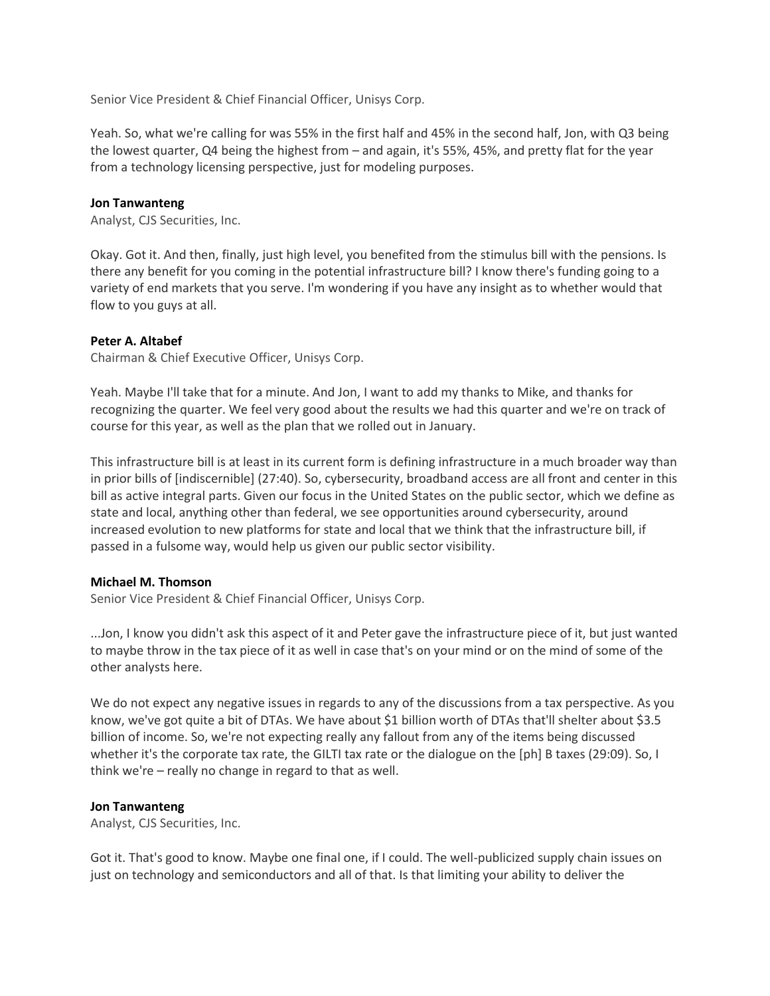Senior Vice President & Chief Financial Officer, Unisys Corp.

Yeah. So, what we're calling for was 55% in the first half and 45% in the second half, Jon, with Q3 being the lowest quarter, Q4 being the highest from – and again, it's 55%, 45%, and pretty flat for the year from a technology licensing perspective, just for modeling purposes.

# **[Jon Tanwanteng](javascript:void(0);)**

Analyst, CJS Securities, Inc.

Okay. Got it. And then, finally, just high level, you benefited from the stimulus bill with the pensions. Is there any benefit for you coming in the potential infrastructure bill? I know there's funding going to a variety of end markets that you serve. I'm wondering if you have any insight as to whether would that flow to you guys at all.

# **[Peter A. Altabef](javascript:void(0);)**

Chairman & Chief Executive Officer, Unisys Corp.

Yeah. Maybe I'll take that for a minute. And Jon, I want to add my thanks to Mike, and thanks for recognizing the quarter. We feel very good about the results we had this quarter and we're on track of course for this year, as well as the plan that we rolled out in January.

This infrastructure bill is at least in its current form is defining infrastructure in a much broader way than in prior bills of [indiscernible] (27:40). So, cybersecurity, broadband access are all front and center in this bill as active integral parts. Given our focus in the United States on the public sector, which we define as state and local, anything other than federal, we see opportunities around cybersecurity, around increased evolution to new platforms for state and local that we think that the infrastructure bill, if passed in a fulsome way, would help us given our public sector visibility.

#### **[Michael M. Thomson](javascript:void(0);)**

Senior Vice President & Chief Financial Officer, Unisys Corp.

...Jon, I know you didn't ask this aspect of it and Peter gave the infrastructure piece of it, but just wanted to maybe throw in the tax piece of it as well in case that's on your mind or on the mind of some of the other analysts here.

We do not expect any negative issues in regards to any of the discussions from a tax perspective. As you know, we've got quite a bit of DTAs. We have about \$1 billion worth of DTAs that'll shelter about \$3.5 billion of income. So, we're not expecting really any fallout from any of the items being discussed whether it's the corporate tax rate, the GILTI tax rate or the dialogue on the [ph] B taxes (29:09). So, I think we're – really no change in regard to that as well.

#### **[Jon Tanwanteng](javascript:void(0);)**

Analyst, CJS Securities, Inc.

Got it. That's good to know. Maybe one final one, if I could. The well-publicized supply chain issues on just on technology and semiconductors and all of that. Is that limiting your ability to deliver the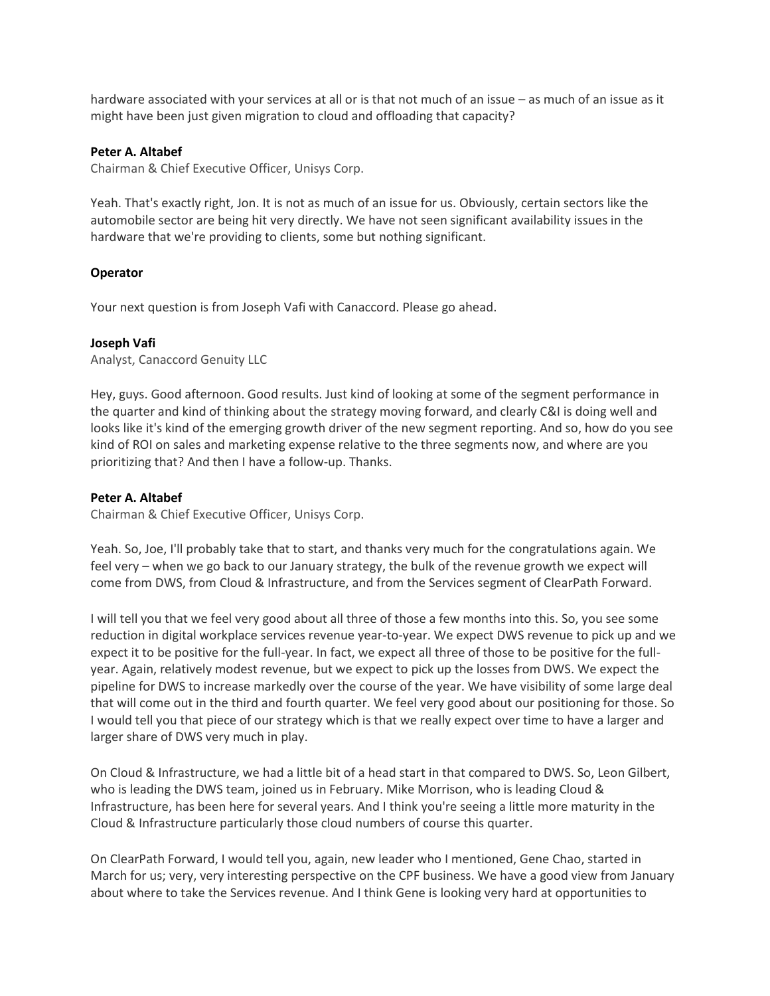hardware associated with your services at all or is that not much of an issue – as much of an issue as it might have been just given migration to cloud and offloading that capacity?

# **[Peter A. Altabef](javascript:void(0);)**

Chairman & Chief Executive Officer, Unisys Corp.

Yeah. That's exactly right, Jon. It is not as much of an issue for us. Obviously, certain sectors like the automobile sector are being hit very directly. We have not seen significant availability issues in the hardware that we're providing to clients, some but nothing significant.

# **Operator**

Your next question is from Joseph Vafi with Canaccord. Please go ahead.

# **[Joseph Vafi](javascript:void(0);)**

Analyst, Canaccord Genuity LLC

Hey, guys. Good afternoon. Good results. Just kind of looking at some of the segment performance in the quarter and kind of thinking about the strategy moving forward, and clearly C&I is doing well and looks like it's kind of the emerging growth driver of the new segment reporting. And so, how do you see kind of ROI on sales and marketing expense relative to the three segments now, and where are you prioritizing that? And then I have a follow-up. Thanks.

# **[Peter A. Altabef](javascript:void(0);)**

Chairman & Chief Executive Officer, Unisys Corp.

Yeah. So, Joe, I'll probably take that to start, and thanks very much for the congratulations again. We feel very – when we go back to our January strategy, the bulk of the revenue growth we expect will come from DWS, from Cloud & Infrastructure, and from the Services segment of ClearPath Forward.

I will tell you that we feel very good about all three of those a few months into this. So, you see some reduction in digital workplace services revenue year-to-year. We expect DWS revenue to pick up and we expect it to be positive for the full-year. In fact, we expect all three of those to be positive for the fullyear. Again, relatively modest revenue, but we expect to pick up the losses from DWS. We expect the pipeline for DWS to increase markedly over the course of the year. We have visibility of some large deal that will come out in the third and fourth quarter. We feel very good about our positioning for those. So I would tell you that piece of our strategy which is that we really expect over time to have a larger and larger share of DWS very much in play.

On Cloud & Infrastructure, we had a little bit of a head start in that compared to DWS. So, Leon Gilbert, who is leading the DWS team, joined us in February. Mike Morrison, who is leading Cloud & Infrastructure, has been here for several years. And I think you're seeing a little more maturity in the Cloud & Infrastructure particularly those cloud numbers of course this quarter.

On ClearPath Forward, I would tell you, again, new leader who I mentioned, Gene Chao, started in March for us; very, very interesting perspective on the CPF business. We have a good view from January about where to take the Services revenue. And I think Gene is looking very hard at opportunities to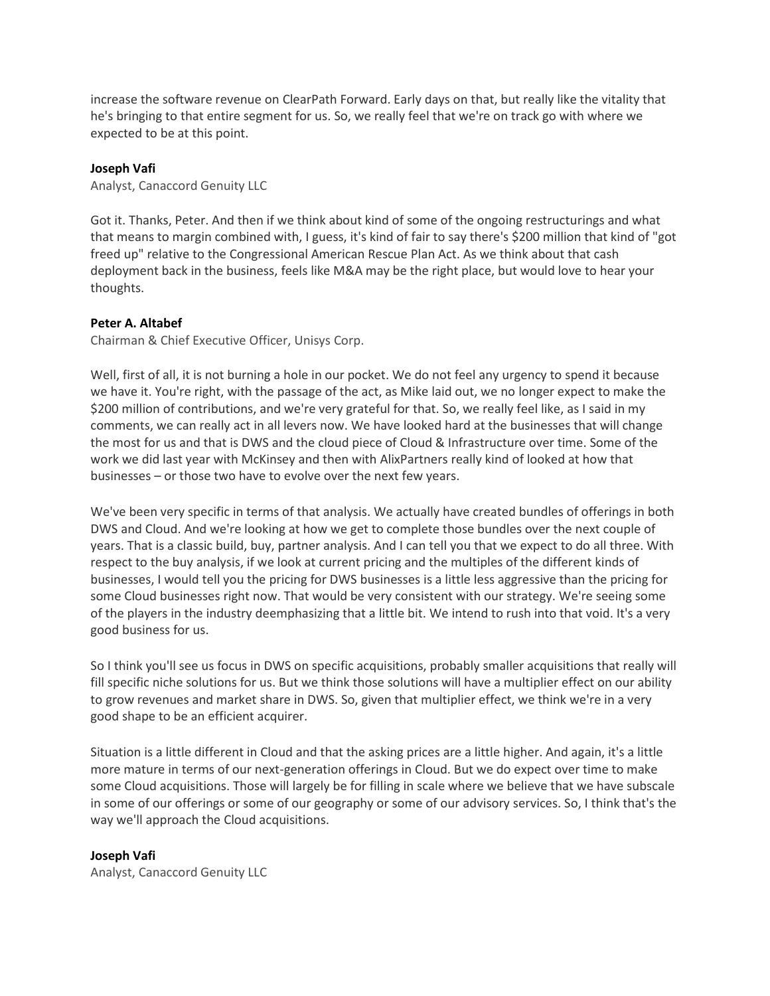increase the software revenue on ClearPath Forward. Early days on that, but really like the vitality that he's bringing to that entire segment for us. So, we really feel that we're on track go with where we expected to be at this point.

# **[Joseph Vafi](javascript:void(0);)**

Analyst, Canaccord Genuity LLC

Got it. Thanks, Peter. And then if we think about kind of some of the ongoing restructurings and what that means to margin combined with, I guess, it's kind of fair to say there's \$200 million that kind of "got freed up" relative to the Congressional American Rescue Plan Act. As we think about that cash deployment back in the business, feels like M&A may be the right place, but would love to hear your thoughts.

# **[Peter A. Altabef](javascript:void(0);)**

Chairman & Chief Executive Officer, Unisys Corp.

Well, first of all, it is not burning a hole in our pocket. We do not feel any urgency to spend it because we have it. You're right, with the passage of the act, as Mike laid out, we no longer expect to make the \$200 million of contributions, and we're very grateful for that. So, we really feel like, as I said in my comments, we can really act in all levers now. We have looked hard at the businesses that will change the most for us and that is DWS and the cloud piece of Cloud & Infrastructure over time. Some of the work we did last year with McKinsey and then with AlixPartners really kind of looked at how that businesses – or those two have to evolve over the next few years.

We've been very specific in terms of that analysis. We actually have created bundles of offerings in both DWS and Cloud. And we're looking at how we get to complete those bundles over the next couple of years. That is a classic build, buy, partner analysis. And I can tell you that we expect to do all three. With respect to the buy analysis, if we look at current pricing and the multiples of the different kinds of businesses, I would tell you the pricing for DWS businesses is a little less aggressive than the pricing for some Cloud businesses right now. That would be very consistent with our strategy. We're seeing some of the players in the industry deemphasizing that a little bit. We intend to rush into that void. It's a very good business for us.

So I think you'll see us focus in DWS on specific acquisitions, probably smaller acquisitions that really will fill specific niche solutions for us. But we think those solutions will have a multiplier effect on our ability to grow revenues and market share in DWS. So, given that multiplier effect, we think we're in a very good shape to be an efficient acquirer.

Situation is a little different in Cloud and that the asking prices are a little higher. And again, it's a little more mature in terms of our next-generation offerings in Cloud. But we do expect over time to make some Cloud acquisitions. Those will largely be for filling in scale where we believe that we have subscale in some of our offerings or some of our geography or some of our advisory services. So, I think that's the way we'll approach the Cloud acquisitions.

#### **[Joseph Vafi](javascript:void(0);)**

Analyst, Canaccord Genuity LLC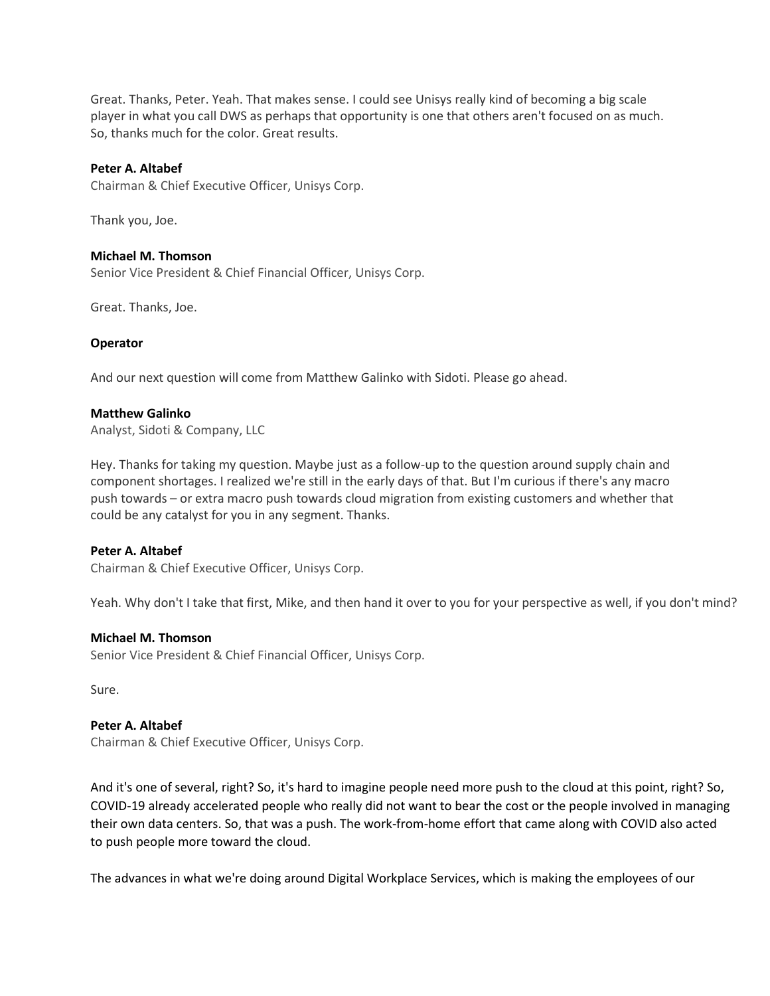Great. Thanks, Peter. Yeah. That makes sense. I could see Unisys really kind of becoming a big scale player in what you call DWS as perhaps that opportunity is one that others aren't focused on as much. So, thanks much for the color. Great results.

### **[Peter A. Altabef](javascript:void(0);)**

Chairman & Chief Executive Officer, Unisys Corp.

Thank you, Joe.

#### **[Michael M. Thomson](javascript:void(0);)**

Senior Vice President & Chief Financial Officer, Unisys Corp.

Great. Thanks, Joe.

#### **Operator**

And our next question will come from Matthew Galinko with Sidoti. Please go ahead.

#### **[Matthew Galinko](javascript:void(0);)**

Analyst, Sidoti & Company, LLC

Hey. Thanks for taking my question. Maybe just as a follow-up to the question around supply chain and component shortages. I realized we're still in the early days of that. But I'm curious if there's any macro push towards – or extra macro push towards cloud migration from existing customers and whether that could be any catalyst for you in any segment. Thanks.

#### **[Peter A. Altabef](javascript:void(0);)**

Chairman & Chief Executive Officer, Unisys Corp.

Yeah. Why don't I take that first, Mike, and then hand it over to you for your perspective as well, if you don't mind?

#### **[Michael M. Thomson](javascript:void(0);)**

Senior Vice President & Chief Financial Officer, Unisys Corp.

Sure.

# **[Peter A. Altabef](javascript:void(0);)**

Chairman & Chief Executive Officer, Unisys Corp.

And it's one of several, right? So, it's hard to imagine people need more push to the cloud at this point, right? So, COVID-19 already accelerated people who really did not want to bear the cost or the people involved in managing their own data centers. So, that was a push. The work-from-home effort that came along with COVID also acted to push people more toward the cloud.

The advances in what we're doing around Digital Workplace Services, which is making the employees of our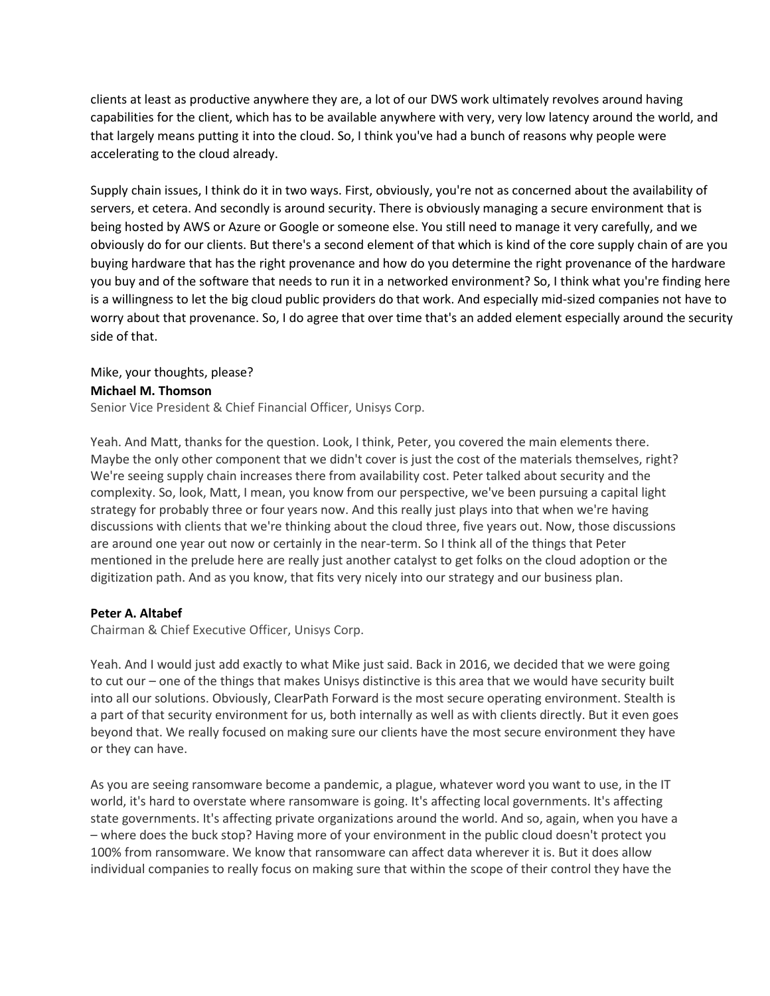clients at least as productive anywhere they are, a lot of our DWS work ultimately revolves around having capabilities for the client, which has to be available anywhere with very, very low latency around the world, and that largely means putting it into the cloud. So, I think you've had a bunch of reasons why people were accelerating to the cloud already.

Supply chain issues, I think do it in two ways. First, obviously, you're not as concerned about the availability of servers, et cetera. And secondly is around security. There is obviously managing a secure environment that is being hosted by AWS or Azure or Google or someone else. You still need to manage it very carefully, and we obviously do for our clients. But there's a second element of that which is kind of the core supply chain of are you buying hardware that has the right provenance and how do you determine the right provenance of the hardware you buy and of the software that needs to run it in a networked environment? So, I think what you're finding here is a willingness to let the big cloud public providers do that work. And especially mid-sized companies not have to worry about that provenance. So, I do agree that over time that's an added element especially around the security side of that.

# Mike, your thoughts, please?

# **[Michael M. Thomson](javascript:void(0);)**

Senior Vice President & Chief Financial Officer, Unisys Corp.

Yeah. And Matt, thanks for the question. Look, I think, Peter, you covered the main elements there. Maybe the only other component that we didn't cover is just the cost of the materials themselves, right? We're seeing supply chain increases there from availability cost. Peter talked about security and the complexity. So, look, Matt, I mean, you know from our perspective, we've been pursuing a capital light strategy for probably three or four years now. And this really just plays into that when we're having discussions with clients that we're thinking about the cloud three, five years out. Now, those discussions are around one year out now or certainly in the near-term. So I think all of the things that Peter mentioned in the prelude here are really just another catalyst to get folks on the cloud adoption or the digitization path. And as you know, that fits very nicely into our strategy and our business plan.

# **[Peter A. Altabef](javascript:void(0);)**

Chairman & Chief Executive Officer, Unisys Corp.

Yeah. And I would just add exactly to what Mike just said. Back in 2016, we decided that we were going to cut our – one of the things that makes Unisys distinctive is this area that we would have security built into all our solutions. Obviously, ClearPath Forward is the most secure operating environment. Stealth is a part of that security environment for us, both internally as well as with clients directly. But it even goes beyond that. We really focused on making sure our clients have the most secure environment they have or they can have.

As you are seeing ransomware become a pandemic, a plague, whatever word you want to use, in the IT world, it's hard to overstate where ransomware is going. It's affecting local governments. It's affecting state governments. It's affecting private organizations around the world. And so, again, when you have a – where does the buck stop? Having more of your environment in the public cloud doesn't protect you 100% from ransomware. We know that ransomware can affect data wherever it is. But it does allow individual companies to really focus on making sure that within the scope of their control they have the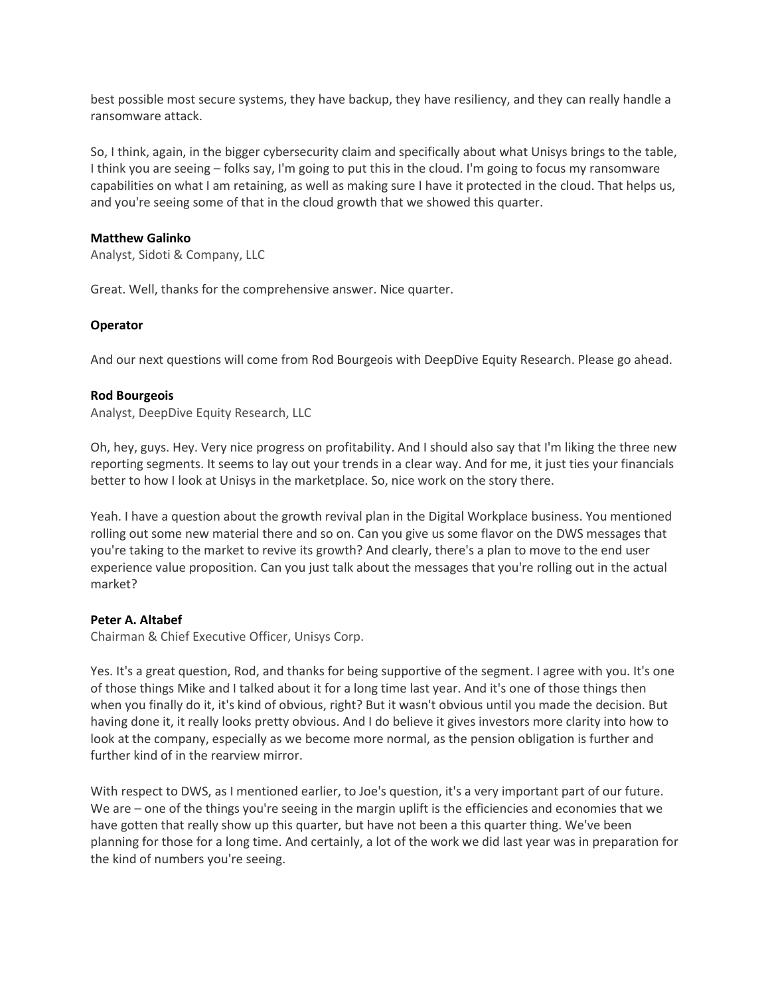best possible most secure systems, they have backup, they have resiliency, and they can really handle a ransomware attack.

So, I think, again, in the bigger cybersecurity claim and specifically about what Unisys brings to the table, I think you are seeing – folks say, I'm going to put this in the cloud. I'm going to focus my ransomware capabilities on what I am retaining, as well as making sure I have it protected in the cloud. That helps us, and you're seeing some of that in the cloud growth that we showed this quarter.

# **[Matthew Galinko](javascript:void(0);)**

Analyst, Sidoti & Company, LLC

Great. Well, thanks for the comprehensive answer. Nice quarter.

# **Operator**

And our next questions will come from Rod Bourgeois with DeepDive Equity Research. Please go ahead.

# **[Rod Bourgeois](javascript:void(0);)**

Analyst, DeepDive Equity Research, LLC

Oh, hey, guys. Hey. Very nice progress on profitability. And I should also say that I'm liking the three new reporting segments. It seems to lay out your trends in a clear way. And for me, it just ties your financials better to how I look at Unisys in the marketplace. So, nice work on the story there.

Yeah. I have a question about the growth revival plan in the Digital Workplace business. You mentioned rolling out some new material there and so on. Can you give us some flavor on the DWS messages that you're taking to the market to revive its growth? And clearly, there's a plan to move to the end user experience value proposition. Can you just talk about the messages that you're rolling out in the actual market?

# **[Peter A. Altabef](javascript:void(0);)**

Chairman & Chief Executive Officer, Unisys Corp.

Yes. It's a great question, Rod, and thanks for being supportive of the segment. I agree with you. It's one of those things Mike and I talked about it for a long time last year. And it's one of those things then when you finally do it, it's kind of obvious, right? But it wasn't obvious until you made the decision. But having done it, it really looks pretty obvious. And I do believe it gives investors more clarity into how to look at the company, especially as we become more normal, as the pension obligation is further and further kind of in the rearview mirror.

With respect to DWS, as I mentioned earlier, to Joe's question, it's a very important part of our future. We are – one of the things you're seeing in the margin uplift is the efficiencies and economies that we have gotten that really show up this quarter, but have not been a this quarter thing. We've been planning for those for a long time. And certainly, a lot of the work we did last year was in preparation for the kind of numbers you're seeing.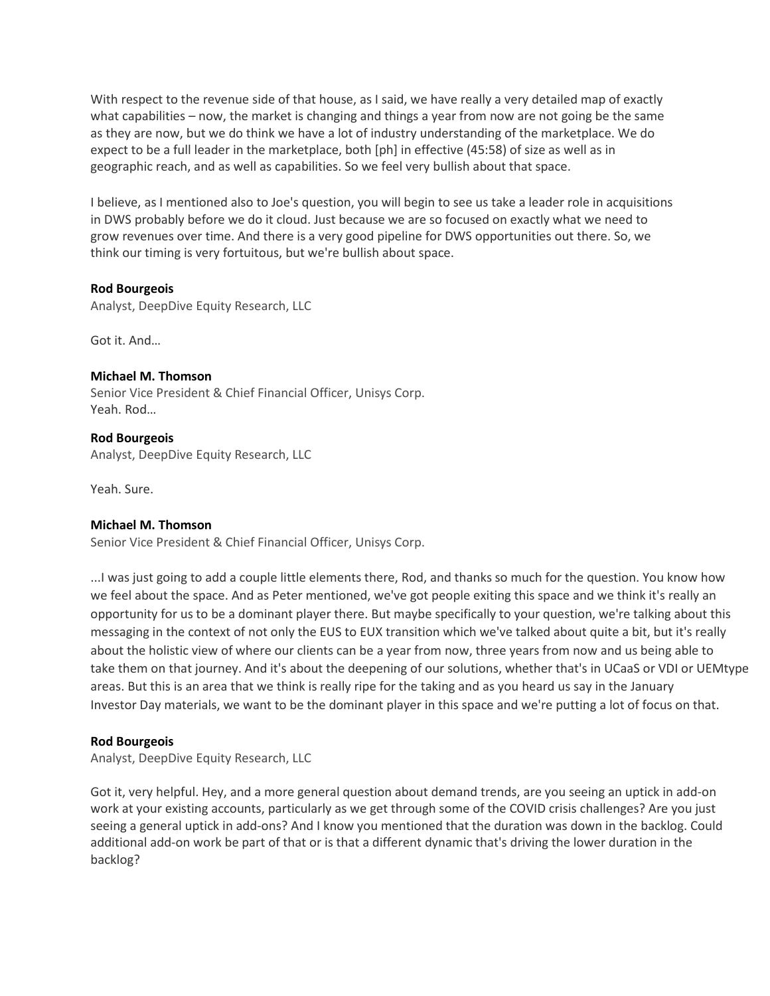With respect to the revenue side of that house, as I said, we have really a very detailed map of exactly what capabilities – now, the market is changing and things a year from now are not going be the same as they are now, but we do think we have a lot of industry understanding of the marketplace. We do expect to be a full leader in the marketplace, both [ph] in effective (45:58) of size as well as in geographic reach, and as well as capabilities. So we feel very bullish about that space.

I believe, as I mentioned also to Joe's question, you will begin to see us take a leader role in acquisitions in DWS probably before we do it cloud. Just because we are so focused on exactly what we need to grow revenues over time. And there is a very good pipeline for DWS opportunities out there. So, we think our timing is very fortuitous, but we're bullish about space.

# **[Rod Bourgeois](javascript:void(0);)**

Analyst, DeepDive Equity Research, LLC

Got it. And…

# **[Michael M. Thomson](javascript:void(0);)** Senior Vice President & Chief Financial Officer, Unisys Corp. Yeah. Rod…

**[Rod Bourgeois](javascript:void(0);)** Analyst, DeepDive Equity Research, LLC

Yeah. Sure.

# **[Michael M. Thomson](javascript:void(0);)**

Senior Vice President & Chief Financial Officer, Unisys Corp.

...I was just going to add a couple little elements there, Rod, and thanks so much for the question. You know how we feel about the space. And as Peter mentioned, we've got people exiting this space and we think it's really an opportunity for us to be a dominant player there. But maybe specifically to your question, we're talking about this messaging in the context of not only the EUS to EUX transition which we've talked about quite a bit, but it's really about the holistic view of where our clients can be a year from now, three years from now and us being able to take them on that journey. And it's about the deepening of our solutions, whether that's in UCaaS or VDI or UEMtype areas. But this is an area that we think is really ripe for the taking and as you heard us say in the January Investor Day materials, we want to be the dominant player in this space and we're putting a lot of focus on that.

#### **[Rod Bourgeois](javascript:void(0);)**

Analyst, DeepDive Equity Research, LLC

Got it, very helpful. Hey, and a more general question about demand trends, are you seeing an uptick in add-on work at your existing accounts, particularly as we get through some of the COVID crisis challenges? Are you just seeing a general uptick in add-ons? And I know you mentioned that the duration was down in the backlog. Could additional add-on work be part of that or is that a different dynamic that's driving the lower duration in the backlog?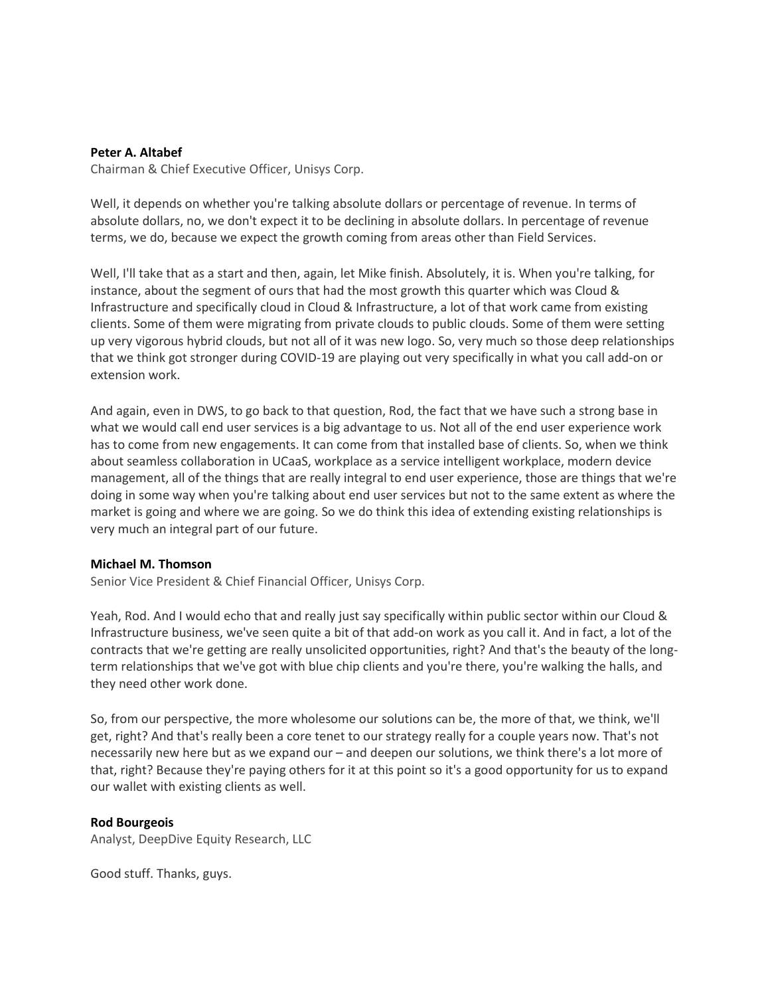### **[Peter A. Altabef](javascript:void(0);)**

Chairman & Chief Executive Officer, Unisys Corp.

Well, it depends on whether you're talking absolute dollars or percentage of revenue. In terms of absolute dollars, no, we don't expect it to be declining in absolute dollars. In percentage of revenue terms, we do, because we expect the growth coming from areas other than Field Services.

Well, I'll take that as a start and then, again, let Mike finish. Absolutely, it is. When you're talking, for instance, about the segment of ours that had the most growth this quarter which was Cloud & Infrastructure and specifically cloud in Cloud & Infrastructure, a lot of that work came from existing clients. Some of them were migrating from private clouds to public clouds. Some of them were setting up very vigorous hybrid clouds, but not all of it was new logo. So, very much so those deep relationships that we think got stronger during COVID-19 are playing out very specifically in what you call add-on or extension work.

And again, even in DWS, to go back to that question, Rod, the fact that we have such a strong base in what we would call end user services is a big advantage to us. Not all of the end user experience work has to come from new engagements. It can come from that installed base of clients. So, when we think about seamless collaboration in UCaaS, workplace as a service intelligent workplace, modern device management, all of the things that are really integral to end user experience, those are things that we're doing in some way when you're talking about end user services but not to the same extent as where the market is going and where we are going. So we do think this idea of extending existing relationships is very much an integral part of our future.

#### **[Michael M. Thomson](javascript:void(0);)**

Senior Vice President & Chief Financial Officer, Unisys Corp.

Yeah, Rod. And I would echo that and really just say specifically within public sector within our Cloud & Infrastructure business, we've seen quite a bit of that add-on work as you call it. And in fact, a lot of the contracts that we're getting are really unsolicited opportunities, right? And that's the beauty of the longterm relationships that we've got with blue chip clients and you're there, you're walking the halls, and they need other work done.

So, from our perspective, the more wholesome our solutions can be, the more of that, we think, we'll get, right? And that's really been a core tenet to our strategy really for a couple years now. That's not necessarily new here but as we expand our – and deepen our solutions, we think there's a lot more of that, right? Because they're paying others for it at this point so it's a good opportunity for us to expand our wallet with existing clients as well.

#### **[Rod Bourgeois](javascript:void(0);)**

Analyst, DeepDive Equity Research, LLC

Good stuff. Thanks, guys.